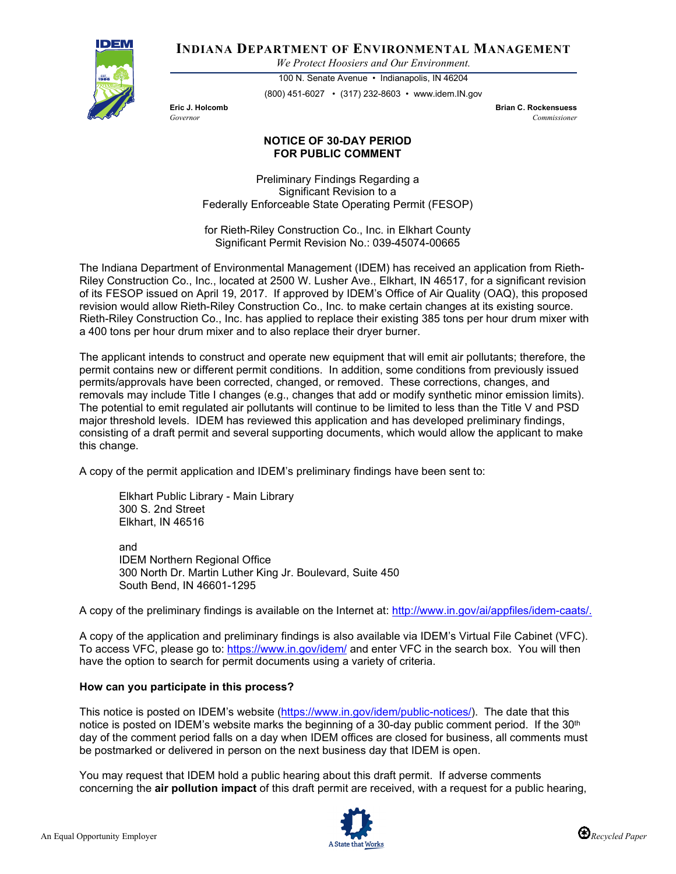

**INDIANA DEPARTMENT OF ENVIRONMENTAL MANAGEMENT**

*We Protect Hoosiers and Our Environment.*

100 N. Senate Avenue • Indianapolis, IN 46204 (800) 451-6027 • (317) 232-8603 • www.idem.IN.gov

**Eric J. Holcomb Brian C. Rockensuess** *Governor Commissioner* 

## **NOTICE OF 30-DAY PERIOD FOR PUBLIC COMMENT**

Preliminary Findings Regarding a Significant Revision to a Federally Enforceable State Operating Permit (FESOP)

for Rieth-Riley Construction Co., Inc. in Elkhart County Significant Permit Revision No.: 039-45074-00665

The Indiana Department of Environmental Management (IDEM) has received an application from Rieth-Riley Construction Co., Inc., located at 2500 W. Lusher Ave., Elkhart, IN 46517, for a significant revision of its FESOP issued on April 19, 2017. If approved by IDEM's Office of Air Quality (OAQ), this proposed revision would allow Rieth-Riley Construction Co., Inc. to make certain changes at its existing source. Rieth-Riley Construction Co., Inc. has applied to replace their existing 385 tons per hour drum mixer with a 400 tons per hour drum mixer and to also replace their dryer burner.

The applicant intends to construct and operate new equipment that will emit air pollutants; therefore, the permit contains new or different permit conditions. In addition, some conditions from previously issued permits/approvals have been corrected, changed, or removed. These corrections, changes, and removals may include Title I changes (e.g., changes that add or modify synthetic minor emission limits). The potential to emit regulated air pollutants will continue to be limited to less than the Title V and PSD major threshold levels. IDEM has reviewed this application and has developed preliminary findings, consisting of a draft permit and several supporting documents, which would allow the applicant to make this change.

A copy of the permit application and IDEM's preliminary findings have been sent to:

Elkhart Public Library - Main Library 300 S. 2nd Street Elkhart, IN 46516

and IDEM Northern Regional Office 300 North Dr. Martin Luther King Jr. Boulevard, Suite 450 South Bend, IN 46601-1295

A copy of the preliminary findings is available on the Internet at: [http://www.in.gov/ai/appfiles/idem-caats/.](http://www.in.gov/ai/appfiles/idem-caats/)

A copy of the application and preliminary findings is also available via IDEM's Virtual File Cabinet (VFC). To access VFC, please go to:<https://www.in.gov/idem/> and enter VFC in the search box. You will then have the option to search for permit documents using a variety of criteria.

## **How can you participate in this process?**

This notice is posted on IDEM's website [\(https://www.in.gov/idem/public-notices/\)](https://www.in.gov/idem/public-notices/). The date that this notice is posted on IDEM's website marks the beginning of a 30-day public comment period. If the 30<sup>th</sup> day of the comment period falls on a day when IDEM offices are closed for business, all comments must be postmarked or delivered in person on the next business day that IDEM is open.

You may request that IDEM hold a public hearing about this draft permit. If adverse comments concerning the **air pollution impact** of this draft permit are received, with a request for a public hearing,